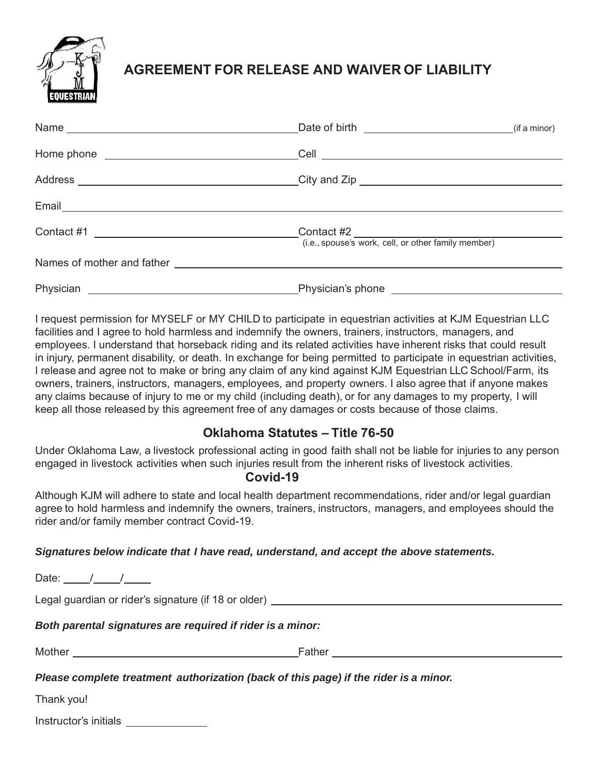

# **AGREEMENT FOR RELEASE AND WAIVER OF LIABILITY**

I request permission for MYSELF or MY CHILD to participate in equestrian activities at KJM Equestrian LLC facilities and I agree to hold harmless and indemnify the owners, trainers, instructors, managers, and employees. I understand that horseback riding and its related activities have inherent risks that could result in injury, permanent disability, or death. In exchange for being permitted to participate in equestrian activities, I release and agree not to make or bring any claim of any kind against KJM Equestrian LLC School/Farm, its owners, trainers, instructors, managers, employees, and property owners. I also agree that if anyone makes any claims because of injury to me or my child (including death), or for any damages to my property, I will keep all those released by this agreement free of any damages or costs because of those claims.

### **Oklahoma Statutes – Title 76-50**

Under Oklahoma Law, a livestock professional acting in good faith shall not be liable for injuries to any person engaged in livestock activities when such injuries result from the inherent risks of livestock activities.

### **Covid-19**

Although KJM will adhere to state and local health department recommendations, rider and/or legal guardian agree to hold harmless and indemnify the owners, trainers, instructors, managers, and employees should the rider and/or family member contract Covid-19.

#### *Signatures below indicate that I have read, understand, and accept the above statements.*

Date: / / Legal guardian or rider's signature (if 18 or older) *Both parental signatures are required if rider is a minor:* Mother Father *Please complete treatment authorization (back of this page) if the rider is a minor.* Thank you!

| Instructor's initials |  |
|-----------------------|--|
|                       |  |